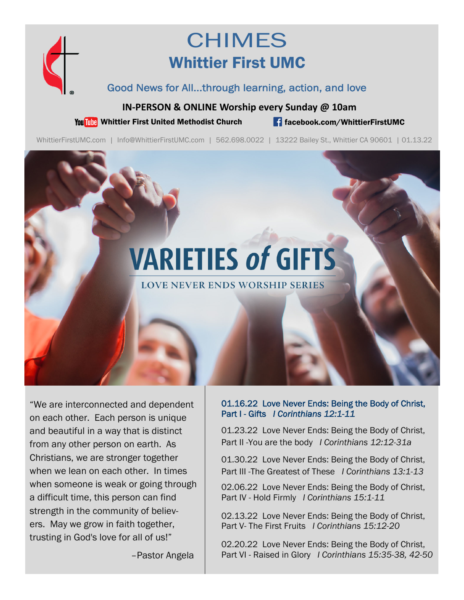

# **CHIMES** Whittier First UMC

## Good News for All...through learning, action, and love

### **IN‐PERSON & ONLINE Worship every Sunday @ 10am**

You This Whittier First United Methodist Church **for the facebook.com/WhittierFirstUMC** 

WhittierFirstUMC.com | Info@WhittierFirstUMC.com | 562.698.0022 | 13222 Bailey St., Whittier CA 90601 | 01.13.22

# **VARIETIES of GIFTS**

**LOVE NEVER ENDS WORSHIP SERIES** 

"We are interconnected and dependent on each other. Each person is unique and beautiful in a way that is distinct from any other person on earth. As Christians, we are stronger together when we lean on each other. In times when someone is weak or going through a difficult time, this person can find strength in the community of believers. May we grow in faith together, trusting in God's love for all of us!"

01.16.22 Love Never Ends: Being the Body of Christ, Part I - Gifts *I Corinthians 12:1-11* 

01.23.22 Love Never Ends: Being the Body of Christ, Part II -You are the body *I Corinthians 12:12-31a* 

01.30.22 Love Never Ends: Being the Body of Christ, Part III -The Greatest of These *I Corinthians 13:1-13*

02.06.22 Love Never Ends: Being the Body of Christ, Part IV - Hold Firmly *I Corinthians 15:1-11* 

02.13.22 Love Never Ends: Being the Body of Christ, Part V- The First Fruits *I Corinthians 15:12-20* 

02.20.22 Love Never Ends: Being the Body of Christ, Part VI - Raised in Glory *I Corinthians 15:35-38, 42-50* 

–Pastor Angela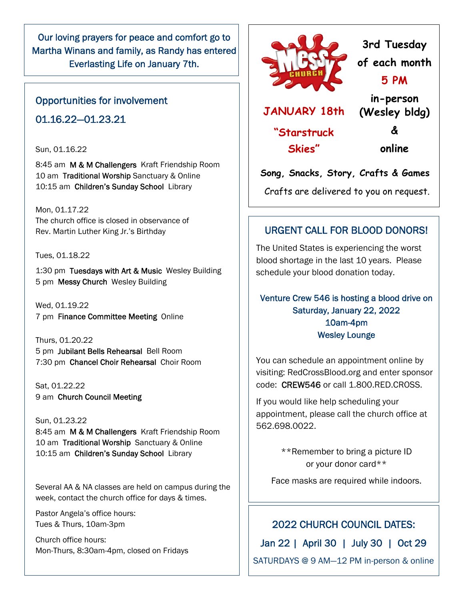Our loving prayers for peace and comfort go to Martha Winans and family, as Randy has entered Everlasting Life on January 7th.

## Opportunities for involvement 01.16.22—01.23.21

#### Sun, 01.16.22

8:45 am M & M Challengers Kraft Friendship Room 10 am Traditional Worship Sanctuary & Online 10:15 am Children's Sunday School Library

Mon, 01.17.22 The church office is closed in observance of Rev. Martin Luther King Jr.'s Birthday

Tues, 01.18.22

1:30 pm Tuesdays with Art & Music Wesley Building 5 pm Messy Church Wesley Building

Wed, 01.19.22 7 pm Finance Committee Meeting Online

Thurs, 01.20.22 5 pm Jubilant Bells Rehearsal Bell Room 7:30 pm Chancel Choir Rehearsal Choir Room

Sat, 01.22.22 9 am Church Council Meeting

Sun, 01.23.22 8:45 am M & M Challengers Kraft Friendship Room 10 am Traditional Worship Sanctuary & Online 10:15 am Children's Sunday School Library

Several AA & NA classes are held on campus during the week, contact the church office for days & times.

Pastor Angela's office hours: Tues & Thurs, 10am-3pm

Church office hours: Mon-Thurs, 8:30am-4pm, closed on Fridays



## **3rd Tuesday of each month 5 PM in-person**

**JANUARY 18th** 

**"Starstruck Skies"** 

**&** 

**(Wesley bldg)** 

**online** 

**Song, Snacks, Story, Crafts & Games** 

Crafts are delivered to you on request.

## URGENT CALL FOR BLOOD DONORS!

The United States is experiencing the worst blood shortage in the last 10 years. Please schedule your blood donation today.

## Venture Crew 546 is hosting a blood drive on Saturday, January 22, 2022 10am-4pm Wesley Lounge

You can schedule an appointment online by visiting: RedCrossBlood.org and enter sponsor code: CREW546 or call 1.800.RED.CROSS.

If you would like help scheduling your appointment, please call the church office at 562.698.0022.

> \*\*Remember to bring a picture ID or your donor card\*\*

Face masks are required while indoors.

## 2022 CHURCH COUNCIL DATES:

Jan 22 | April 30 | July 30 | Oct 29

SATURDAYS @ 9 AM—12 PM in-person & online